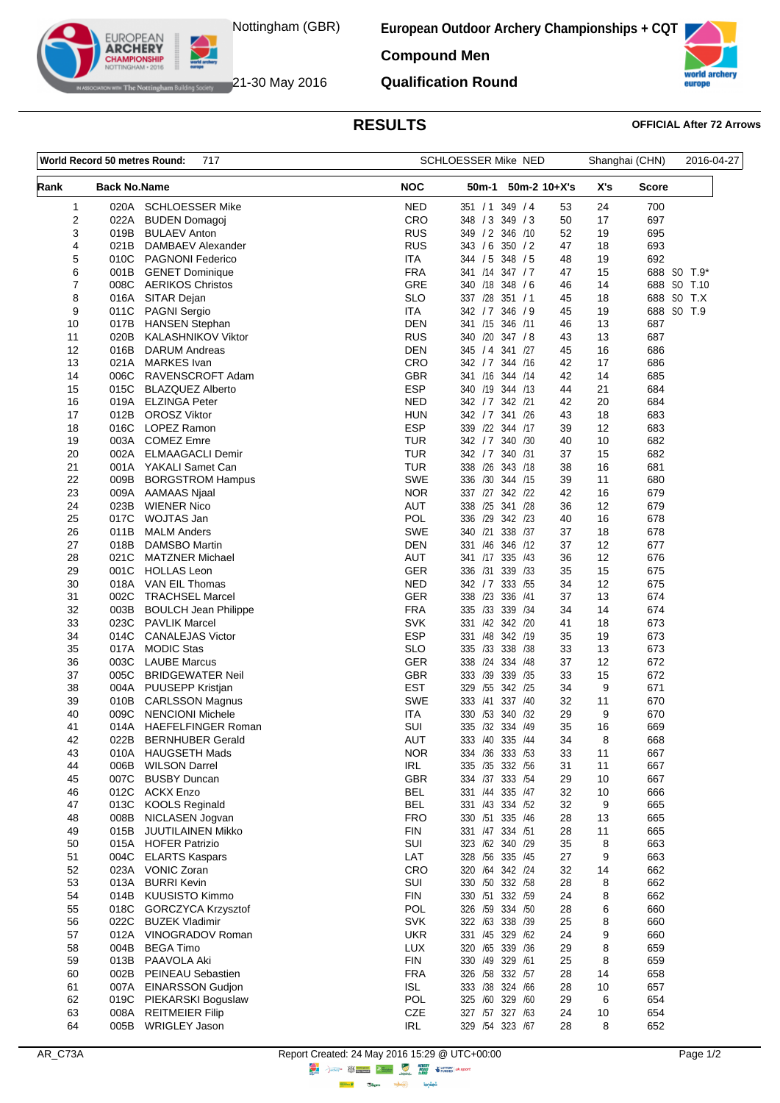

WHERE Notting ham Building Society **21-30 May 2016** 

**EUROPEAN ARCHERY** 

**European Outdoor Archery Championships + CQT**

**Compound Men**

**Qualification Round**

## **RESULTS OFFICIAL After 72 Arrows**

world europe

| World Record 50 metres Round:<br>717 |                     |                                              | SCHLOESSER Mike NED      |                                     | Shanghai (CHN)       | 2016-04-27   |             |
|--------------------------------------|---------------------|----------------------------------------------|--------------------------|-------------------------------------|----------------------|--------------|-------------|
| Rank                                 | <b>Back No.Name</b> |                                              | <b>NOC</b>               | 50m-1<br>$50m-2$ 10+X's             | X's                  | <b>Score</b> |             |
| 1                                    | 020A                | <b>SCHLOESSER Mike</b>                       | <b>NED</b>               | 349 / 4<br>351 / 1                  | 53<br>24             | 700          |             |
| 2                                    | 022A                | <b>BUDEN Domagoj</b>                         | CRO                      | 348 / 3 349 / 3                     | 50<br>17             | 697          |             |
| 3                                    | 019B                | <b>BULAEV Anton</b>                          | <b>RUS</b>               | 349 / 2 346 / 10                    | 19<br>52             | 695          |             |
| 4                                    | 021B                | DAMBAEV Alexander                            | <b>RUS</b>               | 343 / 6<br>350 / 2                  | 47<br>18             | 693          |             |
| 5                                    |                     | 010C PAGNONI Federico                        | <b>ITA</b>               | 344 / 5 348 / 5                     | 48<br>19             | 692          |             |
| 6                                    | 001B                | <b>GENET Dominique</b>                       | <b>FRA</b>               | 341 /14 347 / 7                     | 47<br>15             |              | 688 SO T.9* |
| 7                                    |                     | 008C AERIKOS Christos                        | GRE                      | 340 /18 348 / 6                     | 46<br>14             |              | 688 SO T.10 |
| 8                                    | 016A                | SITAR Dejan                                  | <b>SLO</b>               | 337 /28 351 / 1                     | 45<br>18             |              | 688 SO T.X  |
| 9                                    |                     | 011C PAGNI Sergio                            | <b>ITA</b>               | 342 / 7 346 / 9                     | 45<br>19             |              | 688 SO T.9  |
| 10                                   | 017B                | <b>HANSEN Stephan</b>                        | <b>DEN</b>               | 341 /15 346 /11                     | 13<br>46             | 687          |             |
| 11                                   | 020B                | <b>KALASHNIKOV Viktor</b>                    | <b>RUS</b><br><b>DEN</b> | 340 /20 347 /8                      | 43<br>13             | 687          |             |
| 12<br>13                             | 016B<br>021A        | <b>DARUM Andreas</b><br><b>MARKES</b> Ivan   | CRO                      | 345 / 4 341 /27<br>342 / 7 344 / 16 | 45<br>16<br>42<br>17 | 686<br>686   |             |
| 14                                   | 006C                | RAVENSCROFT Adam                             | <b>GBR</b>               | 341 /16 344 /14                     | 42<br>14             | 685          |             |
| 15                                   | 015C                | <b>BLAZQUEZ Alberto</b>                      | <b>ESP</b>               | 340 /19 344 /13                     | 21<br>44             | 684          |             |
| 16                                   | 019A                | <b>ELZINGA Peter</b>                         | <b>NED</b>               | 342 / 7 342 / 21                    | 20<br>42             | 684          |             |
| 17                                   | 012B                | <b>OROSZ Viktor</b>                          | <b>HUN</b>               | 342 / 7 341 / 26                    | 43<br>18             | 683          |             |
| 18                                   | 016C                | LOPEZ Ramon                                  | <b>ESP</b>               | 339 /22 344 /17                     | 12<br>39             | 683          |             |
| 19                                   | 003A                | <b>COMEZ Emre</b>                            | <b>TUR</b>               | 342 / 7 340 / 30                    | 40<br>10             | 682          |             |
| 20                                   | 002A                | <b>ELMAAGACLI Demir</b>                      | <b>TUR</b>               | 342 / 7 340 / 31                    | 37<br>15             | 682          |             |
| 21                                   |                     | 001A YAKALI Samet Can                        | <b>TUR</b>               | 338 /26 343 /18                     | 16<br>38             | 681          |             |
| 22                                   | 009B                | <b>BORGSTROM Hampus</b>                      | <b>SWE</b>               | 336 /30 344 /15                     | 39<br>11             | 680          |             |
| 23                                   | 009A                | AAMAAS Njaal                                 | <b>NOR</b>               | 337 /27 342 /22                     | 42<br>16             | 679          |             |
| 24                                   | 023B                | <b>WIENER Nico</b>                           | <b>AUT</b>               | 338 /25<br>341 /28                  | 36<br>12             | 679          |             |
| 25                                   | 017C                | WOJTAS Jan                                   | <b>POL</b>               | 336 /29 342 /23                     | 40<br>16             | 678          |             |
| 26                                   | 011B                | <b>MALM Anders</b>                           | <b>SWE</b>               | 338 /37<br>340 /21                  | 18<br>37             | 678          |             |
| 27                                   | 018B                | <b>DAMSBO Martin</b>                         | DEN                      | 331 /46<br>346<br>/12               | 37<br>12             | 677          |             |
| 28                                   | 021C                | <b>MATZNER Michael</b>                       | AUT                      | 341 /17 335 /43                     | 12<br>36             | 676          |             |
| 29                                   |                     | 001C HOLLAS Leon                             | GER                      | 339 /33<br>336 /31                  | 15<br>35             | 675          |             |
| 30                                   |                     | 018A VAN EIL Thomas                          | <b>NED</b>               | 333 /55<br>342 / 7                  | 34<br>12             | 675          |             |
| 31                                   |                     | 002C TRACHSEL Marcel                         | <b>GER</b>               | 338 /23 336 /41                     | 37<br>13             | 674          |             |
| 32                                   | 003B                | <b>BOULCH Jean Philippe</b>                  | <b>FRA</b>               | 335 /33 339 /34                     | 34<br>14             | 674          |             |
| 33                                   |                     | 023C PAVLIK Marcel                           | <b>SVK</b>               | 331 /42 342 /20                     | 41<br>18             | 673          |             |
| 34<br>35                             | 014C<br>017A        | <b>CANALEJAS Victor</b><br><b>MODIC Stas</b> | <b>ESP</b><br><b>SLO</b> | 331 /48 342 /19<br>335 /33 338 /38  | 35<br>19<br>33<br>13 | 673<br>673   |             |
| 36                                   | 003C                | <b>LAUBE Marcus</b>                          | <b>GER</b>               | 338 /24 334 /48                     | 37<br>12             | 672          |             |
| 37                                   | 005C                | <b>BRIDGEWATER Neil</b>                      | <b>GBR</b>               | 333 /39 339 /35                     | 33<br>15             | 672          |             |
| 38                                   |                     | 004A PUUSEPP Kristjan                        | <b>EST</b>               | 329 /55 342 /25                     | 9<br>34              | 671          |             |
| 39                                   | 010B                | <b>CARLSSON Magnus</b>                       | <b>SWE</b>               | 337 /40<br>333 /41                  | 32<br>11             | 670          |             |
| 40                                   | 009C                | <b>NENCIONI Michele</b>                      | ITA                      | 330 /53 340 /32                     | 29<br>9              | 670          |             |
| 41                                   | 014A                | <b>HAEFELFINGER Roman</b>                    | SUI                      | 335 /32 334 /49                     | 35<br>16             | 669          |             |
| 42                                   | 022B                | <b>BERNHUBER Gerald</b>                      | AUT                      | 333 /40 335 /44                     | 34<br>8              | 668          |             |
| 43                                   |                     | 010A HAUGSETH Mads                           | <b>NOR</b>               | 334 /36 333 /53                     | 33<br>11             | 667          |             |
| 44                                   | 006B                | <b>WILSON Darrel</b>                         | IRL                      | 335 /35 332 /56                     | 31<br>11             | 667          |             |
| 45                                   | 007C                | <b>BUSBY Duncan</b>                          | GBR                      | 334 /37 333 /54                     | 29<br>10             | 667          |             |
| 46                                   |                     | 012C ACKX Enzo                               | <b>BEL</b>               | 331 /44 335 /47                     | 32<br>10             | 666          |             |
| 47                                   | 013C                | <b>KOOLS Reginald</b>                        | <b>BEL</b>               | 331 /43 334 /52                     | 32<br>9              | 665          |             |
| 48                                   | 008B                | NICLASEN Jogvan                              | <b>FRO</b>               | 330 /51 335 /46                     | 28<br>13             | 665          |             |
| 49                                   | 015B                | <b>JUUTILAINEN Mikko</b>                     | <b>FIN</b>               | 331 /47 334 /51                     | 28<br>11             | 665          |             |
| 50                                   | 015A                | <b>HOFER Patrizio</b>                        | SUI                      | 323 /62 340 /29                     | 35<br>8              | 663          |             |
| 51                                   | 004C                | <b>ELARTS Kaspars</b>                        | LAT                      | 328 /56 335 /45                     | 27<br>9              | 663          |             |
| 52<br>53                             | 013A                | 023A VONIC Zoran<br><b>BURRI Kevin</b>       | CRO<br>SUI               | 320 /64 342 /24<br>330 /50 332 /58  | 32<br>14<br>28<br>8  | 662<br>662   |             |
| 54                                   | 014B                | KUUSISTO Kimmo                               | <b>FIN</b>               | 330 /51 332 /59                     | 8<br>24              | 662          |             |
| 55                                   | 018C                | <b>GORCZYCA Krzysztof</b>                    | POL                      | 326 /59 334 /50                     | 28<br>6              | 660          |             |
| 56                                   | 022C                | <b>BUZEK Vladimir</b>                        | <b>SVK</b>               | 322 /63 338 /39                     | 25<br>8              | 660          |             |
| 57                                   |                     | 012A VINOGRADOV Roman                        | <b>UKR</b>               | 331 /45 329 /62                     | 24<br>9              | 660          |             |
| 58                                   | 004B                | <b>BEGA Timo</b>                             | <b>LUX</b>               | 320 /65 339 /36                     | 8<br>29              | 659          |             |
| 59                                   | 013B                | PAAVOLA Aki                                  | <b>FIN</b>               | 330 /49 329 /61                     | 8<br>25              | 659          |             |
| 60                                   | 002B                | PEINEAU Sebastien                            | <b>FRA</b>               | 326 /58 332 /57                     | 28<br>14             | 658          |             |
| 61                                   | 007A                | <b>EINARSSON Gudjon</b>                      | <b>ISL</b>               | 333 /38 324 /66                     | 28<br>10             | 657          |             |
| 62                                   | 019C                | PIEKARSKI Boguslaw                           | POL                      | 325 /60 329 /60                     | 6<br>29              | 654          |             |
| 63                                   | 008A                | <b>REITMEIER Filip</b>                       | CZE                      | 327 /57 327 /63                     | 24<br>10             | 654          |             |
| 64                                   | 005B                | <b>WRIGLEY Jason</b>                         | IRL                      | 329 /54 323 /67                     | 8<br>28              | 652          |             |